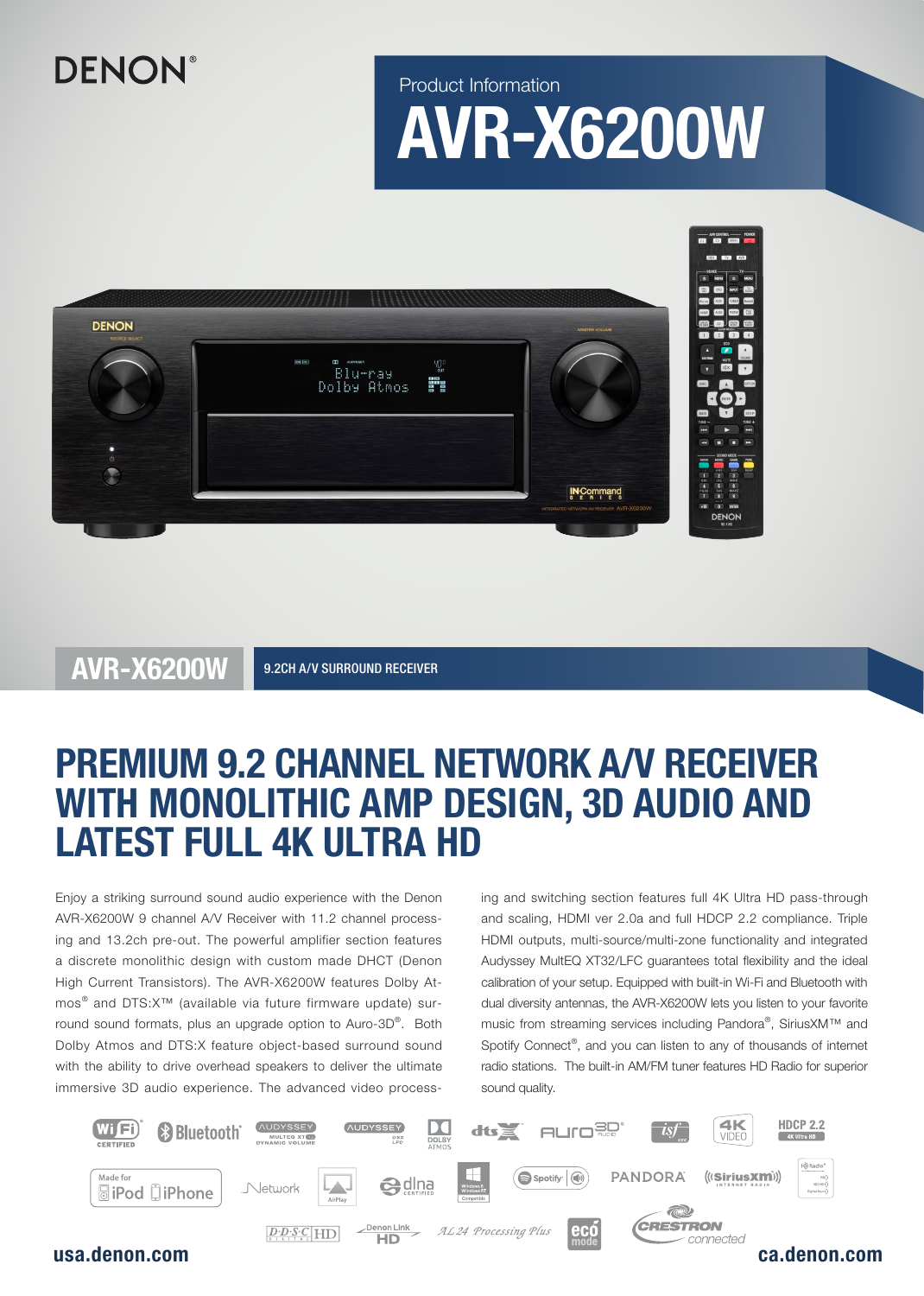## **DENON**®

Product Information

# AVR-X6200W



AVR-X6200W 9.2CH A/V SURROUND RECEIVER

### PREMIUM 9.2 CHANNEL NETWORK A/V RECEIVER WITH MONOLITHIC AMP DESIGN, 3D AUDIO AND LATEST FULL 4K ULTRA HD

Enjoy a striking surround sound audio experience with the Denon AVR-X6200W 9 channel A/V Receiver with 11.2 channel processing and 13.2ch pre-out. The powerful amplifier section features a discrete monolithic design with custom made DHCT (Denon High Current Transistors). The AVR-X6200W features Dolby Atmos® and DTS:X™ (available via future firmware update) surround sound formats, plus an upgrade option to Auro-3D® . Both Dolby Atmos and DTS:X feature object-based surround sound with the ability to drive overhead speakers to deliver the ultimate immersive 3D audio experience. The advanced video processing and switching section features full 4K Ultra HD pass-through and scaling, HDMI ver 2.0a and full HDCP 2.2 compliance. Triple HDMI outputs, multi-source/multi-zone functionality and integrated Audyssey MultEQ XT32/LFC guarantees total flexibility and the ideal calibration of your setup. Equipped with built-in Wi-Fi and Bluetooth with dual diversity antennas, the AVR-X6200W lets you listen to your favorite music from streaming services including Pandora®, SiriusXM™ and Spotify Connect®, and you can listen to any of thousands of internet radio stations. The built-in AM/FM tuner features HD Radio for superior sound quality.